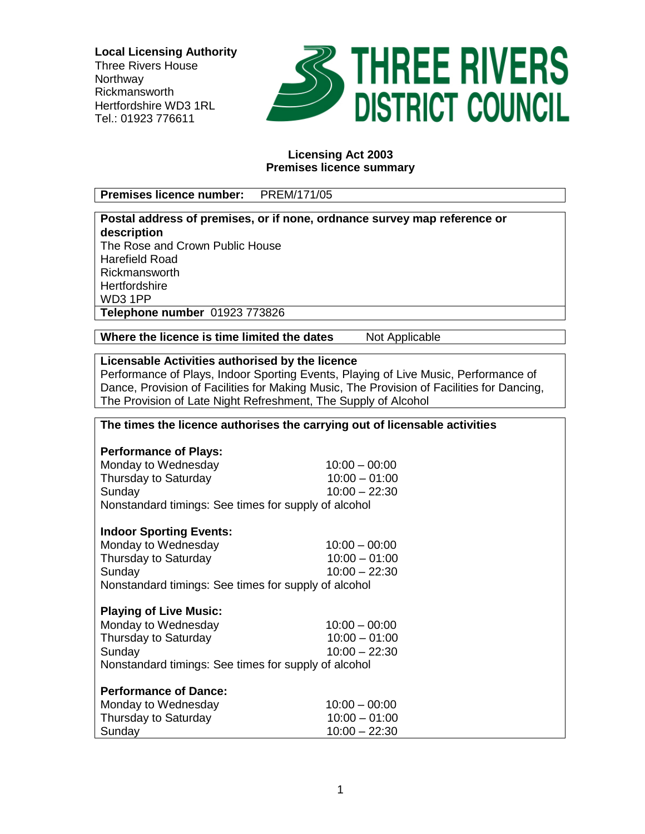**Local Licensing Authority** Three Rivers House **Northway** Rickmansworth Hertfordshire WD3 1RL Tel.: 01923 776611



#### **Licensing Act 2003 Premises licence summary**

**Premises licence number:** PREM/171/05

**Postal address of premises, or if none, ordnance survey map reference or description** The Rose and Crown Public House Harefield Road Rickmansworth **Hertfordshire** WD3 1PP **Telephone number** 01923 773826

**Where the licence is time limited the dates** Not Applicable

### **Licensable Activities authorised by the licence**

Performance of Plays, Indoor Sporting Events, Playing of Live Music, Performance of Dance, Provision of Facilities for Making Music, The Provision of Facilities for Dancing, The Provision of Late Night Refreshment, The Supply of Alcohol

| The times the licence authorises the carrying out of licensable activities |
|----------------------------------------------------------------------------|
|                                                                            |

## **Performance of Plays:**

| Monday to Wednesday                                  | $10:00 - 00:00$ |
|------------------------------------------------------|-----------------|
| Thursday to Saturday                                 | $10:00 - 01:00$ |
| Sunday                                               | $10:00 - 22:30$ |
| Nonstandard timings: See times for supply of alcohol |                 |

#### **Indoor Sporting Events:**

| Monday to Wednesday                                  | $10:00 - 00:00$ |
|------------------------------------------------------|-----------------|
| Thursday to Saturday                                 | $10:00 - 01:00$ |
| Sunday                                               | $10:00 - 22:30$ |
| Nonstandard timings: See times for supply of alcohol |                 |

#### **Playing of Live Music:**

| Monday to Wednesday                                  | $10:00 - 00:00$ |
|------------------------------------------------------|-----------------|
| Thursday to Saturday                                 | $10:00 - 01:00$ |
| Sunday                                               | $10:00 - 22:30$ |
| Nonstandard timings: See times for supply of alcohol |                 |

## **Performance of Dance:**

| Monday to Wednesday  | $10:00 - 00:00$ |
|----------------------|-----------------|
| Thursday to Saturday | $10:00 - 01:00$ |
| Sunday               | $10:00 - 22:30$ |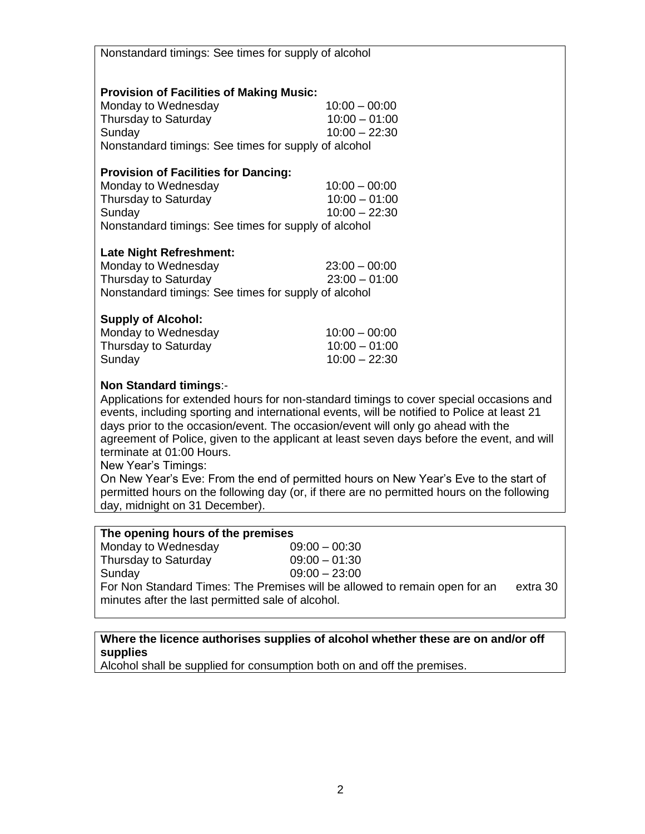| Nonstandard timings: See times for supply of alcohol                                                                                                                                                                                                                                                                                                                                                                                                                                                                                                                                                                                                |                                                       |  |
|-----------------------------------------------------------------------------------------------------------------------------------------------------------------------------------------------------------------------------------------------------------------------------------------------------------------------------------------------------------------------------------------------------------------------------------------------------------------------------------------------------------------------------------------------------------------------------------------------------------------------------------------------------|-------------------------------------------------------|--|
| <b>Provision of Facilities of Making Music:</b><br>Monday to Wednesday<br>Thursday to Saturday<br>Sunday<br>Nonstandard timings: See times for supply of alcohol                                                                                                                                                                                                                                                                                                                                                                                                                                                                                    | $10:00 - 00:00$<br>$10:00 - 01:00$<br>$10:00 - 22:30$ |  |
| <b>Provision of Facilities for Dancing:</b><br>Monday to Wednesday<br>Thursday to Saturday<br>Sunday<br>Nonstandard timings: See times for supply of alcohol                                                                                                                                                                                                                                                                                                                                                                                                                                                                                        | $10:00 - 00:00$<br>$10:00 - 01:00$<br>$10:00 - 22:30$ |  |
| <b>Late Night Refreshment:</b><br>Monday to Wednesday<br>Thursday to Saturday<br>Nonstandard timings: See times for supply of alcohol                                                                                                                                                                                                                                                                                                                                                                                                                                                                                                               | $23:00 - 00:00$<br>$23:00 - 01:00$                    |  |
| <b>Supply of Alcohol:</b><br>Monday to Wednesday<br>Thursday to Saturday<br>Sunday                                                                                                                                                                                                                                                                                                                                                                                                                                                                                                                                                                  | $10:00 - 00:00$<br>$10:00 - 01:00$<br>$10:00 - 22:30$ |  |
| <b>Non Standard timings:-</b><br>Applications for extended hours for non-standard timings to cover special occasions and<br>events, including sporting and international events, will be notified to Police at least 21<br>days prior to the occasion/event. The occasion/event will only go ahead with the<br>agreement of Police, given to the applicant at least seven days before the event, and will<br>terminate at 01:00 Hours.<br>New Year's Timings:<br>On New Year's Eve: From the end of permitted hours on New Year's Eve to the start of<br>permitted hours on the following day (or, if there are no permitted hours on the following |                                                       |  |
| day, midnight on 31 December).                                                                                                                                                                                                                                                                                                                                                                                                                                                                                                                                                                                                                      |                                                       |  |
| The opening hours of the premises                                                                                                                                                                                                                                                                                                                                                                                                                                                                                                                                                                                                                   |                                                       |  |
| Monday to Wednesday                                                                                                                                                                                                                                                                                                                                                                                                                                                                                                                                                                                                                                 | $09:00 - 00:30$                                       |  |

| Monday to Wednesday                               | $09:00 - 00:30$                                                            |          |
|---------------------------------------------------|----------------------------------------------------------------------------|----------|
| Thursday to Saturday                              | $09:00 - 01:30$                                                            |          |
| Sunday                                            | $09:00 - 23:00$                                                            |          |
| minutes after the last permitted sale of alcohol. | For Non Standard Times: The Premises will be allowed to remain open for an | extra 30 |
|                                                   |                                                                            |          |

# **Where the licence authorises supplies of alcohol whether these are on and/or off supplies**

Alcohol shall be supplied for consumption both on and off the premises.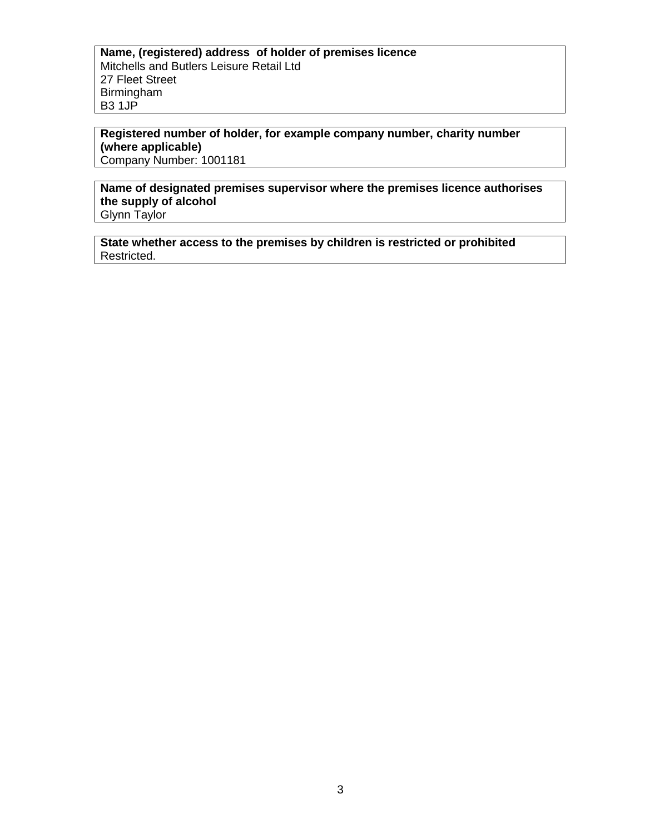**Name, (registered) address of holder of premises licence** Mitchells and Butlers Leisure Retail Ltd 27 Fleet Street Birmingham B3 1JP

## **Registered number of holder, for example company number, charity number (where applicable)**

Company Number: 1001181

# **Name of designated premises supervisor where the premises licence authorises the supply of alcohol**

Glynn Taylor

**State whether access to the premises by children is restricted or prohibited** Restricted.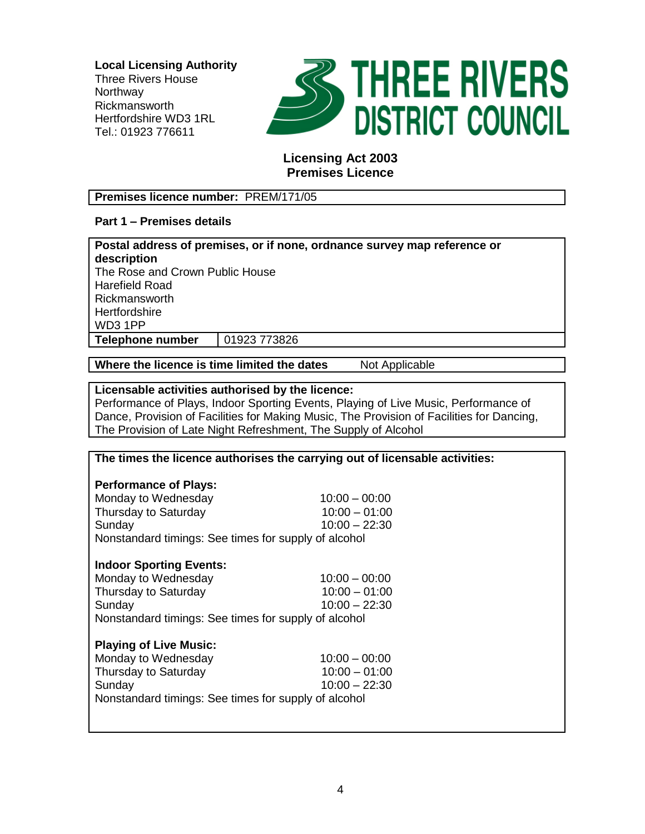**Local Licensing Authority** Three Rivers House Northway Rickmansworth Hertfordshire WD3 1RL Tel.: 01923 776611



# **Licensing Act 2003 Premises Licence**

## **Premises licence number:** PREM/171/05

## **Part 1 – Premises details**

|                                 | Postal address of premises, or if none, ordnance survey map reference or |
|---------------------------------|--------------------------------------------------------------------------|
| description                     |                                                                          |
| The Rose and Crown Public House |                                                                          |
| <b>Harefield Road</b>           |                                                                          |
| Rickmansworth                   |                                                                          |
| <b>Hertfordshire</b>            |                                                                          |
| WD <sub>3</sub> 1PP             |                                                                          |
| <b>Telephone number</b>         | 01923 773826                                                             |

**Where the licence is time limited the dates** Not Applicable

## **Licensable activities authorised by the licence:**

Performance of Plays, Indoor Sporting Events, Playing of Live Music, Performance of Dance, Provision of Facilities for Making Music, The Provision of Facilities for Dancing, The Provision of Late Night Refreshment, The Supply of Alcohol

| The times the licence authorises the carrying out of licensable activities: |                 |  |
|-----------------------------------------------------------------------------|-----------------|--|
| <b>Performance of Plays:</b>                                                |                 |  |
| Monday to Wednesday                                                         | $10:00 - 00:00$ |  |
| Thursday to Saturday                                                        | $10:00 - 01:00$ |  |
| Sunday                                                                      | $10:00 - 22:30$ |  |
| Nonstandard timings: See times for supply of alcohol                        |                 |  |
| <b>Indoor Sporting Events:</b>                                              |                 |  |
| Monday to Wednesday                                                         | $10:00 - 00:00$ |  |
| Thursday to Saturday                                                        | $10:00 - 01:00$ |  |
| Sunday                                                                      | $10:00 - 22:30$ |  |
| Nonstandard timings: See times for supply of alcohol                        |                 |  |
| <b>Playing of Live Music:</b>                                               |                 |  |
| Monday to Wednesday                                                         | $10:00 - 00:00$ |  |
| Thursday to Saturday                                                        | $10:00 - 01:00$ |  |
| Sunday                                                                      | $10:00 - 22:30$ |  |
| Nonstandard timings: See times for supply of alcohol                        |                 |  |
|                                                                             |                 |  |
|                                                                             |                 |  |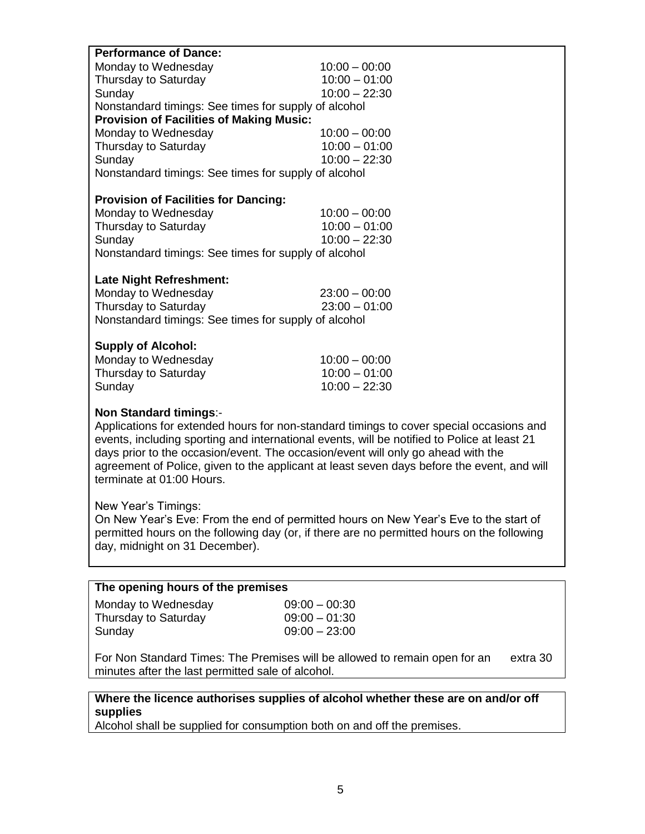# **Performance of Dance:**

| Monday to Wednesday                                  | $10:00 - 00:00$ |  |
|------------------------------------------------------|-----------------|--|
| Thursday to Saturday                                 | $10:00 - 01:00$ |  |
| Sunday                                               | $10:00 - 22:30$ |  |
| Nonstandard timings: See times for supply of alcohol |                 |  |
| <b>Provision of Facilities of Making Music:</b>      |                 |  |
| Monday to Wednesday                                  | $10:00 - 00:00$ |  |
| Thursday to Saturday                                 | $10:00 - 01:00$ |  |
| Sunday                                               | $10:00 - 22:30$ |  |
| Nonstandard timings: See times for supply of alcohol |                 |  |

## **Provision of Facilities for Dancing:**

| Monday to Wednesday                                  | $10:00 - 00:00$ |
|------------------------------------------------------|-----------------|
| Thursday to Saturday                                 | $10:00 - 01:00$ |
| Sunday                                               | $10:00 - 22:30$ |
| Nonstandard timings: See times for supply of alcohol |                 |

#### **Late Night Refreshment:**

| Monday to Wednesday                                  | $23:00 - 00:00$ |
|------------------------------------------------------|-----------------|
| Thursday to Saturday                                 | $23:00 - 01:00$ |
| Nonstandard timings: See times for supply of alcohol |                 |

## **Supply of Alcohol:**

| Monday to Wednesday  | $10:00 - 00:00$ |
|----------------------|-----------------|
| Thursday to Saturday | $10:00 - 01:00$ |
| Sunday               | $10:00 - 22:30$ |

## **Non Standard timings**:-

Applications for extended hours for non-standard timings to cover special occasions and events, including sporting and international events, will be notified to Police at least 21 days prior to the occasion/event. The occasion/event will only go ahead with the agreement of Police, given to the applicant at least seven days before the event, and will terminate at 01:00 Hours.

New Year's Timings:

On New Year's Eve: From the end of permitted hours on New Year's Eve to the start of permitted hours on the following day (or, if there are no permitted hours on the following day, midnight on 31 December).

## **The opening hours of the premises**

| Monday to Wednesday  | $09:00 - 00:30$ |
|----------------------|-----------------|
| Thursday to Saturday | $09:00 - 01:30$ |
| Sunday               | $09:00 - 23:00$ |

For Non Standard Times: The Premises will be allowed to remain open for an extra 30 minutes after the last permitted sale of alcohol.

## **Where the licence authorises supplies of alcohol whether these are on and/or off supplies**

Alcohol shall be supplied for consumption both on and off the premises.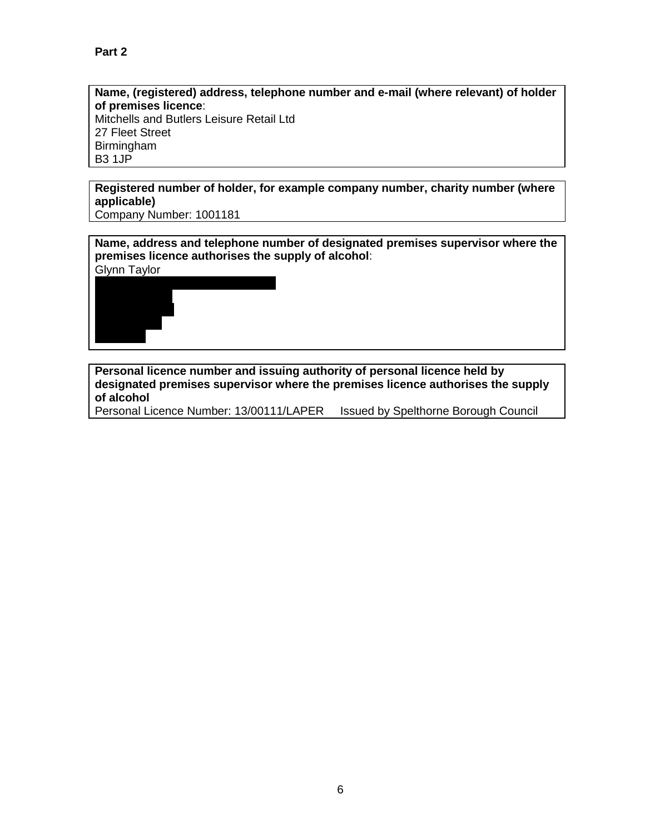#### **Name, (registered) address, telephone number and e-mail (where relevant) of holder of premises licence**: Mitchells and Butlers Leisure Retail Ltd 27 Fleet Street

Birmingham B3 1JP

## **Registered number of holder, for example company number, charity number (where applicable)**

Company Number: 1001181

**Name, address and telephone number of designated premises supervisor where the premises licence authorises the supply of alcohol**:

Glynn Taylor



**Personal licence number and issuing authority of personal licence held by designated premises supervisor where the premises licence authorises the supply of alcohol**

Personal Licence Number: 13/00111/LAPER Issued by Spelthorne Borough Council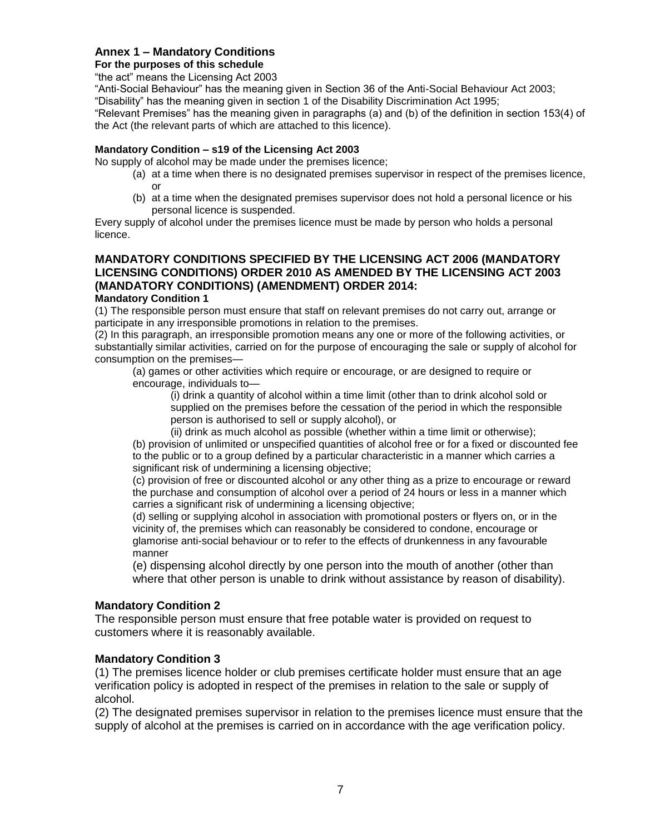## **Annex 1 – Mandatory Conditions**

**For the purposes of this schedule**

"the act" means the Licensing Act 2003

"Anti-Social Behaviour" has the meaning given in Section 36 of the Anti-Social Behaviour Act 2003; "Disability" has the meaning given in section 1 of the Disability Discrimination Act 1995;

"Relevant Premises" has the meaning given in paragraphs (a) and (b) of the definition in section 153(4) of the Act (the relevant parts of which are attached to this licence).

#### **Mandatory Condition – s19 of the Licensing Act 2003**

No supply of alcohol may be made under the premises licence;

- (a) at a time when there is no designated premises supervisor in respect of the premises licence, or
- (b) at a time when the designated premises supervisor does not hold a personal licence or his personal licence is suspended.

Every supply of alcohol under the premises licence must be made by person who holds a personal licence.

## **MANDATORY CONDITIONS SPECIFIED BY THE LICENSING ACT 2006 (MANDATORY LICENSING CONDITIONS) ORDER 2010 AS AMENDED BY THE LICENSING ACT 2003 (MANDATORY CONDITIONS) (AMENDMENT) ORDER 2014:**

#### **Mandatory Condition 1**

(1) The responsible person must ensure that staff on relevant premises do not carry out, arrange or participate in any irresponsible promotions in relation to the premises.

(2) In this paragraph, an irresponsible promotion means any one or more of the following activities, or substantially similar activities, carried on for the purpose of encouraging the sale or supply of alcohol for consumption on the premises—

(a) games or other activities which require or encourage, or are designed to require or encourage, individuals to—

(i) drink a quantity of alcohol within a time limit (other than to drink alcohol sold or supplied on the premises before the cessation of the period in which the responsible person is authorised to sell or supply alcohol), or

(ii) drink as much alcohol as possible (whether within a time limit or otherwise); (b) provision of unlimited or unspecified quantities of alcohol free or for a fixed or discounted fee to the public or to a group defined by a particular characteristic in a manner which carries a significant risk of undermining a licensing objective;

(c) provision of free or discounted alcohol or any other thing as a prize to encourage or reward the purchase and consumption of alcohol over a period of 24 hours or less in a manner which carries a significant risk of undermining a licensing objective;

(d) selling or supplying alcohol in association with promotional posters or flyers on, or in the vicinity of, the premises which can reasonably be considered to condone, encourage or glamorise anti-social behaviour or to refer to the effects of drunkenness in any favourable manner

(e) dispensing alcohol directly by one person into the mouth of another (other than where that other person is unable to drink without assistance by reason of disability).

## **Mandatory Condition 2**

The responsible person must ensure that free potable water is provided on request to customers where it is reasonably available.

#### **Mandatory Condition 3**

(1) The premises licence holder or club premises certificate holder must ensure that an age verification policy is adopted in respect of the premises in relation to the sale or supply of alcohol.

(2) The designated premises supervisor in relation to the premises licence must ensure that the supply of alcohol at the premises is carried on in accordance with the age verification policy.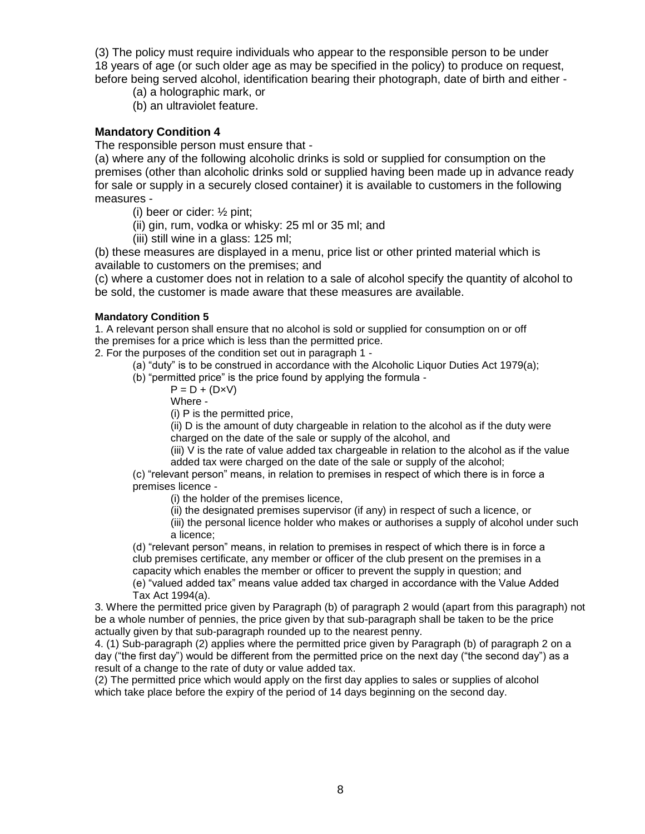(3) The policy must require individuals who appear to the responsible person to be under 18 years of age (or such older age as may be specified in the policy) to produce on request, before being served alcohol, identification bearing their photograph, date of birth and either -

- (a) a holographic mark, or
- (b) an ultraviolet feature.

#### **Mandatory Condition 4**

The responsible person must ensure that -

(a) where any of the following alcoholic drinks is sold or supplied for consumption on the premises (other than alcoholic drinks sold or supplied having been made up in advance ready for sale or supply in a securely closed container) it is available to customers in the following measures -

(i) beer or cider: ½ pint;

(ii) gin, rum, vodka or whisky: 25 ml or 35 ml; and

(iii) still wine in a glass: 125 ml;

(b) these measures are displayed in a menu, price list or other printed material which is available to customers on the premises; and

(c) where a customer does not in relation to a sale of alcohol specify the quantity of alcohol to be sold, the customer is made aware that these measures are available.

#### **Mandatory Condition 5**

1. A relevant person shall ensure that no alcohol is sold or supplied for consumption on or off the premises for a price which is less than the permitted price.

2. For the purposes of the condition set out in paragraph 1 -

- (a) "duty" is to be construed in accordance with the Alcoholic Liquor Duties Act 1979(a);
- (b) "permitted price" is the price found by applying the formula
	- $P = D + (D \times V)$

Where -

(i) P is the permitted price,

(ii) D is the amount of duty chargeable in relation to the alcohol as if the duty were charged on the date of the sale or supply of the alcohol, and

(iii) V is the rate of value added tax chargeable in relation to the alcohol as if the value added tax were charged on the date of the sale or supply of the alcohol;

(c) "relevant person" means, in relation to premises in respect of which there is in force a premises licence -

(i) the holder of the premises licence,

(ii) the designated premises supervisor (if any) in respect of such a licence, or

(iii) the personal licence holder who makes or authorises a supply of alcohol under such a licence;

(d) "relevant person" means, in relation to premises in respect of which there is in force a club premises certificate, any member or officer of the club present on the premises in a capacity which enables the member or officer to prevent the supply in question; and

(e) "valued added tax" means value added tax charged in accordance with the Value Added Tax Act 1994(a).

3. Where the permitted price given by Paragraph (b) of paragraph 2 would (apart from this paragraph) not be a whole number of pennies, the price given by that sub-paragraph shall be taken to be the price actually given by that sub-paragraph rounded up to the nearest penny.

4. (1) Sub-paragraph (2) applies where the permitted price given by Paragraph (b) of paragraph 2 on a day ("the first day") would be different from the permitted price on the next day ("the second day") as a result of a change to the rate of duty or value added tax.

(2) The permitted price which would apply on the first day applies to sales or supplies of alcohol which take place before the expiry of the period of 14 days beginning on the second day.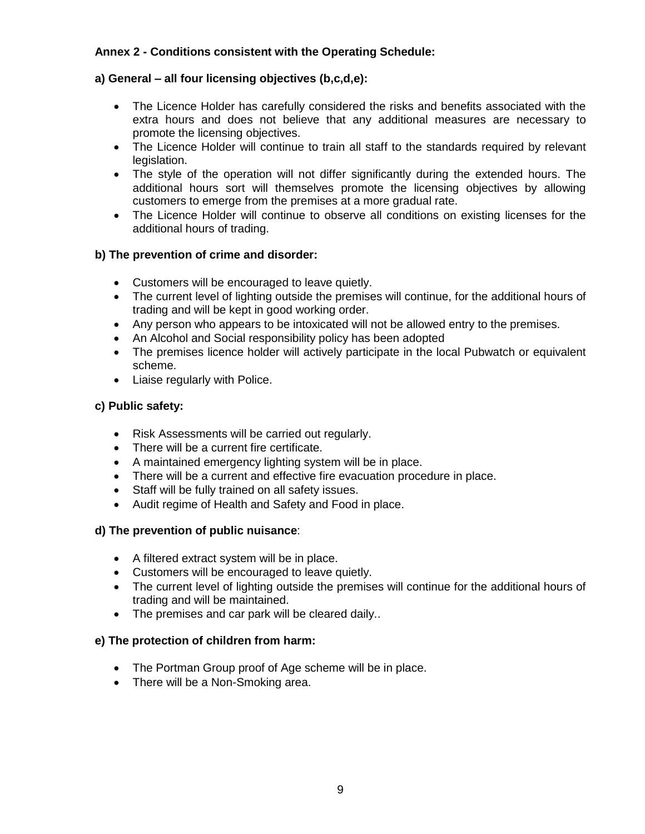## **Annex 2 - Conditions consistent with the Operating Schedule:**

## **a) General – all four licensing objectives (b,c,d,e):**

- The Licence Holder has carefully considered the risks and benefits associated with the extra hours and does not believe that any additional measures are necessary to promote the licensing objectives.
- The Licence Holder will continue to train all staff to the standards required by relevant legislation.
- The style of the operation will not differ significantly during the extended hours. The additional hours sort will themselves promote the licensing objectives by allowing customers to emerge from the premises at a more gradual rate.
- The Licence Holder will continue to observe all conditions on existing licenses for the additional hours of trading.

## **b) The prevention of crime and disorder:**

- Customers will be encouraged to leave quietly.
- The current level of lighting outside the premises will continue, for the additional hours of trading and will be kept in good working order.
- Any person who appears to be intoxicated will not be allowed entry to the premises.
- An Alcohol and Social responsibility policy has been adopted
- The premises licence holder will actively participate in the local Pubwatch or equivalent scheme.
- Liaise regularly with Police.

## **c) Public safety:**

- Risk Assessments will be carried out regularly.
- There will be a current fire certificate.
- A maintained emergency lighting system will be in place.
- There will be a current and effective fire evacuation procedure in place.
- Staff will be fully trained on all safety issues.
- Audit regime of Health and Safety and Food in place.

## **d) The prevention of public nuisance**:

- A filtered extract system will be in place.
- Customers will be encouraged to leave quietly.
- The current level of lighting outside the premises will continue for the additional hours of trading and will be maintained.
- The premises and car park will be cleared daily..

## **e) The protection of children from harm:**

- The Portman Group proof of Age scheme will be in place.
- There will be a Non-Smoking area.